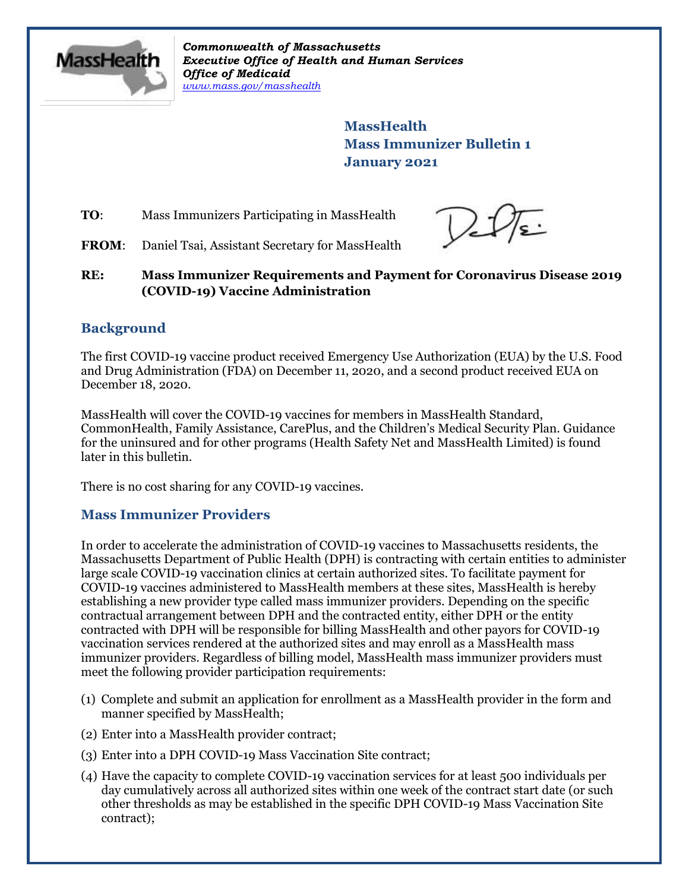

*Commonwealth of Massachusetts Executive Office of Health and Human Services Office of Medicaid [www.mass.gov/masshealth](http://www.mass.gov/masshealth)*

> **MassHealth Mass Immunizer Bulletin 1 January 2021**

**TO:** Mass Immunizers Participating in MassHealth

 $2\mathcal{U}$ s:

FROM: Daniel Tsai, Assistant Secretary for MassHealth

**RE: Mass Immunizer Requirements and Payment for Coronavirus Disease 2019 (COVID-19) Vaccine Administration** 

# **Background**

The first COVID-19 vaccine product received Emergency Use Authorization (EUA) by the U.S. Food and Drug Administration (FDA) on December 11, 2020, and a second product received EUA on December 18, 2020.

MassHealth will cover the COVID-19 vaccines for members in MassHealth Standard, CommonHealth, Family Assistance, CarePlus, and the Children's Medical Security Plan. Guidance for the uninsured and for other programs (Health Safety Net and MassHealth Limited) is found later in this bulletin.

There is no cost sharing for any COVID-19 vaccines.

## **Mass Immunizer Providers**

In order to accelerate the administration of COVID-19 vaccines to Massachusetts residents, the Massachusetts Department of Public Health (DPH) is contracting with certain entities to administer large scale COVID-19 vaccination clinics at certain authorized sites. To facilitate payment for COVID-19 vaccines administered to MassHealth members at these sites, MassHealth is hereby establishing a new provider type called mass immunizer providers. Depending on the specific contractual arrangement between DPH and the contracted entity, either DPH or the entity contracted with DPH will be responsible for billing MassHealth and other payors for COVID-19 vaccination services rendered at the authorized sites and may enroll as a MassHealth mass immunizer providers. Regardless of billing model, MassHealth mass immunizer providers must meet the following provider participation requirements:

- (1) Complete and submit an application for enrollment as a MassHealth provider in the form and manner specified by MassHealth;
- (2) Enter into a MassHealth provider contract;
- (3) Enter into a DPH COVID-19 Mass Vaccination Site contract;
- (4) Have the capacity to complete COVID-19 vaccination services for at least 500 individuals per day cumulatively across all authorized sites within one week of the contract start date (or such other thresholds as may be established in the specific DPH COVID-19 Mass Vaccination Site contract);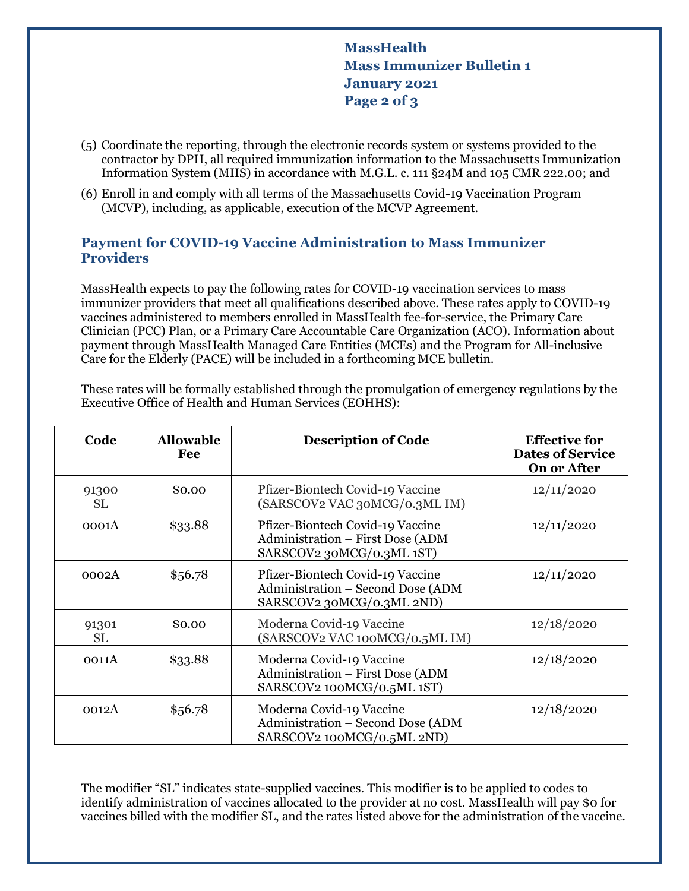**MassHealth Mass Immunizer Bulletin 1 January 2021 Page 2 of 3**

- (5) Coordinate the reporting, through the electronic records system or systems provided to the contractor by DPH, all required immunization information to the Massachusetts Immunization Information System (MIIS) in accordance with M.G.L. c. 111 §24M and 105 CMR 222.00; and
- (6) Enroll in and comply with all terms of the Massachusetts Covid-19 Vaccination Program (MCVP), including, as applicable, execution of the MCVP Agreement.

## **Payment for COVID-19 Vaccine Administration to Mass Immunizer Providers**

MassHealth expects to pay the following rates for COVID-19 vaccination services to mass immunizer providers that meet all qualifications described above. These rates apply to COVID-19 vaccines administered to members enrolled in MassHealth fee-for-service, the Primary Care Clinician (PCC) Plan, or a Primary Care Accountable Care Organization (ACO). Information about payment through MassHealth Managed Care Entities (MCEs) and the Program for All-inclusive Care for the Elderly (PACE) will be included in a forthcoming MCE bulletin.

These rates will be formally established through the promulgation of emergency regulations by the Executive Office of Health and Human Services (EOHHS):

| Code               | <b>Allowable</b><br>Fee | <b>Description of Code</b>                                                                         | <b>Effective for</b><br><b>Dates of Service</b><br><b>On or After</b> |
|--------------------|-------------------------|----------------------------------------------------------------------------------------------------|-----------------------------------------------------------------------|
| 91300<br><b>SL</b> | \$0.00                  | Pfizer-Biontech Covid-19 Vaccine<br>(SARSCOV2 VAC 30MCG/0.3ML IM)                                  | 12/11/2020                                                            |
| 0001A              | \$33.88                 | Pfizer-Biontech Covid-19 Vaccine<br>Administration - First Dose (ADM<br>SARSCOV2 30MCG/0.3ML 1ST)  | 12/11/2020                                                            |
| 0002A              | \$56.78                 | Pfizer-Biontech Covid-19 Vaccine<br>Administration - Second Dose (ADM<br>SARSCOV2 30MCG/0.3ML 2ND) | 12/11/2020                                                            |
| 91301<br>SL        | \$0.00                  | Moderna Covid-19 Vaccine<br>(SARSCOV2 VAC 100MCG/0.5ML IM)                                         | 12/18/2020                                                            |
| 0011A              | \$33.88                 | Moderna Covid-19 Vaccine<br>Administration - First Dose (ADM<br>SARSCOV2 100MCG/0.5ML 1ST)         | 12/18/2020                                                            |
| 0012A              | \$56.78                 | Moderna Covid-19 Vaccine<br>Administration - Second Dose (ADM<br>SARSCOV2 100MCG/0.5ML 2ND)        | 12/18/2020                                                            |

The modifier "SL" indicates state-supplied vaccines. This modifier is to be applied to codes to identify administration of vaccines allocated to the provider at no cost. MassHealth will pay \$0 for vaccines billed with the modifier SL, and the rates listed above for the administration of the vaccine.